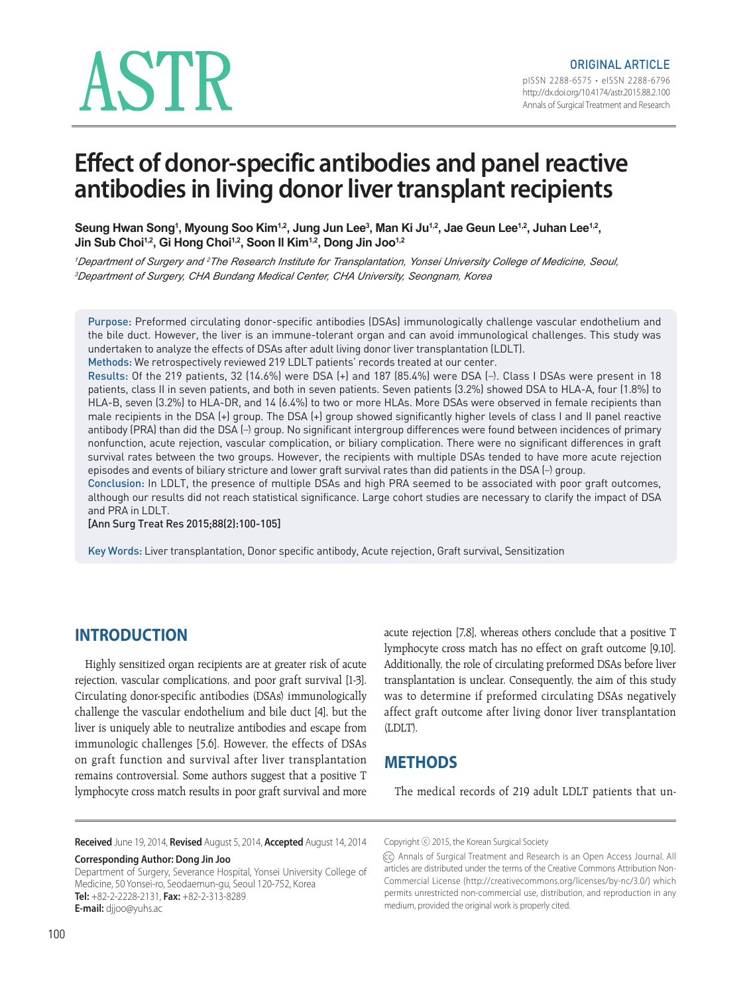# ASTR

# **Effect of donor-specific antibodies and panel reactive antibodies in living donor liver transplant recipients**

Seung Hwan Song<sup>1</sup>, Myoung Soo Kim<sup>1,2</sup>, Jung Jun Lee<sup>3</sup>, Man Ki Ju<sup>1,2</sup>, Jae Geun Lee<sup>1,2</sup>, Juhan Lee<sup>1,2</sup>, Jin Sub Choi<sup>1,2</sup>, Gi Hong Choi<sup>1,2</sup>, Soon Il Kim<sup>1,2</sup>, Dong Jin Joo<sup>1,2</sup>

*<sup>1</sup>Department of Surgery and <sup>2</sup>The Research Institute for Transplantation, Yonsei University College of Medicine, Seoul, <sup>3</sup>Department of Surgery, CHA Bundang Medical Center, CHA University, Seongnam, Korea*

Purpose: Preformed circulating donor-specific antibodies (DSAs) immunologically challenge vascular endothelium and the bile duct. However, the liver is an immune-tolerant organ and can avoid immunological challenges. This study was undertaken to analyze the effects of DSAs after adult living donor liver transplantation (LDLT).

Methods: We retrospectively reviewed 219 LDLT patients' records treated at our center.

Results: Of the 219 patients, 32 (14.6%) were DSA (+) and 187 (85.4%) were DSA (–). Class I DSAs were present in 18 patients, class II in seven patients, and both in seven patients. Seven patients (3.2%) showed DSA to HLA-A, four (1.8%) to HLA-B, seven (3.2%) to HLA-DR, and 14 (6.4%) to two or more HLAs. More DSAs were observed in female recipients than male recipients in the DSA (+) group. The DSA (+) group showed significantly higher levels of class I and II panel reactive antibody (PRA) than did the DSA (–) group. No significant intergroup differences were found between incidences of primary nonfunction, acute rejection, vascular complication, or biliary complication. There were no significant differences in graft survival rates between the two groups. However, the recipients with multiple DSAs tended to have more acute rejection episodes and events of biliary stricture and lower graft survival rates than did patients in the DSA (–) group.

Conclusion: In LDLT, the presence of multiple DSAs and high PRA seemed to be associated with poor graft outcomes, although our results did not reach statistical significance. Large cohort studies are necessary to clarify the impact of DSA and PRA in LDLT.

[Ann Surg Treat Res 2015;88(2):100-105]

Key Words: Liver transplantation, Donor specific antibody, Acute rejection, Graft survival, Sensitization

# **INTRODUCTION**

Highly sensitized organ recipients are at greater risk of acute rejection, vascular complications, and poor graft survival [1-3]. Circulating donor-specific antibodies (DSAs) immunologically challenge the vascular endothelium and bile duct [4], but the liver is uniquely able to neutralize antibodies and escape from immunologic challenges [5,6]. However, the effects of DSAs on graft function and survival after liver transplantation remains controversial. Some authors suggest that a positive T lymphocyte cross match results in poor graft survival and more

acute rejection [7,8], whereas others conclude that a positive T lymphocyte cross match has no effect on graft outcome [9,10]. Additionally, the role of circulating preformed DSAs before liver transplantation is unclear. Consequently, the aim of this study was to determine if preformed circulating DSAs negatively affect graft outcome after living donor liver transplantation (LDLT).

# **METHODS**

The medical records of 219 adult LDLT patients that un-

**Received** June 19, 2014, **Revised** August 5, 2014, **Accepted** August 14, 2014

**Corresponding Author: Dong Jin Joo** Department of Surgery, Severance Hospital, Yonsei University College of Medicine, 50 Yonsei-ro, Seodaemun-gu, Seoul 120-752, Korea **Tel:** +82-2-2228-2131, **Fax:** +82-2-313-8289 **E-mail:** djjoo@yuhs.ac

Copyright ⓒ 2015, the Korean Surgical Society

<sup>(</sup>cc) Annals of Surgical Treatment and Research is an Open Access Journal. All articles are distributed under the terms of the Creative Commons Attribution Non-Commercial License (http://creativecommons.org/licenses/by-nc/3.0/) which permits unrestricted non-commercial use, distribution, and reproduction in any medium, provided the original work is properly cited.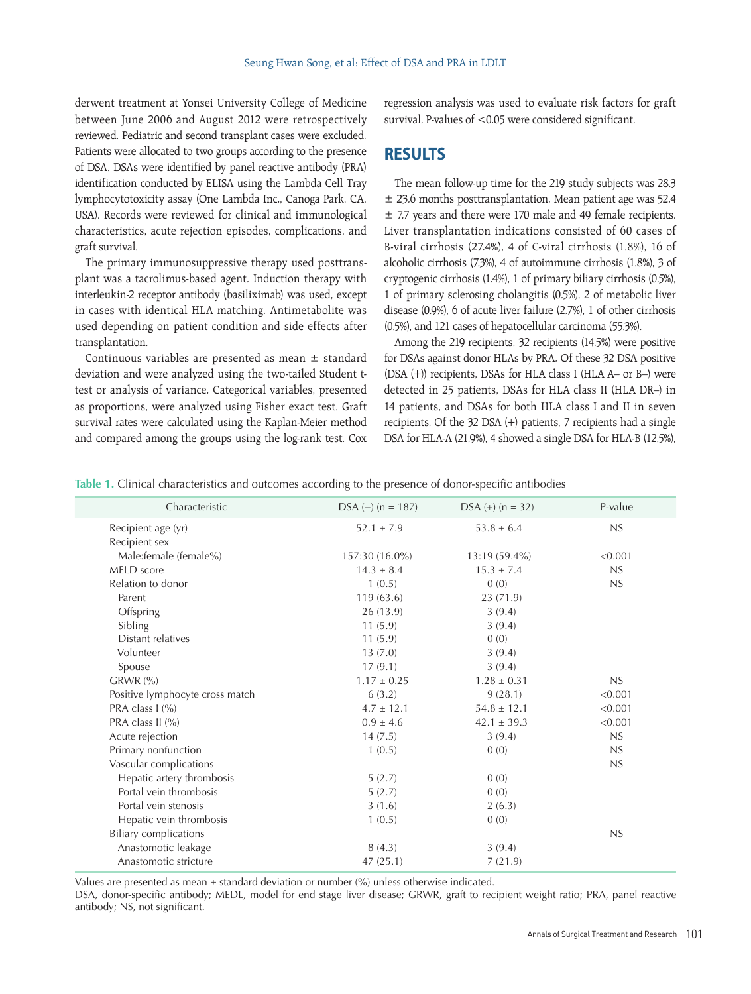derwent treatment at Yonsei University College of Medicine between June 2006 and August 2012 were retrospectively reviewed. Pediatric and second transplant cases were excluded. Patients were allocated to two groups according to the presence of DSA. DSAs were identified by panel reactive antibody (PRA) identification conducted by ELISA using the Lambda Cell Tray lymphocytotoxicity assay (One Lambda Inc., Canoga Park, CA, USA). Records were reviewed for clinical and immunological characteristics, acute rejection episodes, complications, and graft survival.

The primary immunosuppressive therapy used posttransplant was a tacrolimus-based agent. Induction therapy with interleukin-2 receptor antibody (basiliximab) was used, except in cases with identical HLA matching. Antimetabolite was used depending on patient condition and side effects after transplantation.

Continuous variables are presented as mean  $\pm$  standard deviation and were analyzed using the two-tailed Student ttest or analysis of variance. Categorical variables, presented as proportions, were analyzed using Fisher exact test. Graft survival rates were calculated using the Kaplan-Meier method and compared among the groups using the log-rank test. Cox

regression analysis was used to evaluate risk factors for graft survival. P-values of <0.05 were considered significant.

#### **RESULTS**

The mean follow-up time for the 219 study subjects was 28.3  $\pm$  23.6 months posttransplantation. Mean patient age was 52.4  $\pm$  7.7 years and there were 170 male and 49 female recipients. Liver transplantation indications consisted of 60 cases of B-viral cirrhosis (27.4%), 4 of C-viral cirrhosis (1.8%), 16 of alcoholic cirrhosis (7.3%), 4 of autoimmune cirrhosis (1.8%), 3 of cryptogenic cirrhosis (1.4%), 1 of primary biliary cirrhosis (0.5%), 1 of primary sclerosing cholangitis (0.5%), 2 of metabolic liver disease (0.9%), 6 of acute liver failure (2.7%), 1 of other cirrhosis (0.5%), and 121 cases of hepatocellular carcinoma (55.3%).

Among the 219 recipients, 32 recipients (14.5%) were positive for DSAs against donor HLAs by PRA. Of these 32 DSA positive (DSA (+)) recipients, DSAs for HLA class I (HLA A– or B–) were detected in 25 patients, DSAs for HLA class II (HLA DR–) in 14 patients, and DSAs for both HLA class I and II in seven recipients. Of the 32 DSA (+) patients, 7 recipients had a single DSA for HLA-A (21.9%), 4 showed a single DSA for HLA-B (12.5%),

**Table 1.** Clinical characteristics and outcomes according to the presence of donor-specific antibodies

| Characteristic                  | $DSA (-) (n = 187)$ | $DSA (+) (n = 32)$ | P-value |
|---------------------------------|---------------------|--------------------|---------|
| Recipient age (yr)              | $52.1 \pm 7.9$      | $53.8 \pm 6.4$     | NS      |
| Recipient sex                   |                     |                    |         |
| Male:female (female%)           | 157:30 (16.0%)      | 13:19 (59.4%)      | < 0.001 |
| MELD score                      | $14.3 \pm 8.4$      | $15.3 \pm 7.4$     | NS      |
| Relation to donor               | 1(0.5)              | 0(0)               | NS      |
| Parent                          | 119(63.6)           | 23 (71.9)          |         |
| Offspring                       | 26(13.9)            | 3(9.4)             |         |
| Sibling                         | 11(5.9)             | 3(9.4)             |         |
| Distant relatives               | 11(5.9)             | 0(0)               |         |
| Volunteer                       | 13(7.0)             | 3(9.4)             |         |
| Spouse                          | 17(9.1)             | 3(9.4)             |         |
| $GRWR$ (%)                      | $1.17 \pm 0.25$     | $1.28 \pm 0.31$    | NS      |
| Positive lymphocyte cross match | 6(3.2)              | 9(28.1)            | < 0.001 |
| PRA class $1$ (%)               | $4.7 \pm 12.1$      | $54.8 \pm 12.1$    | < 0.001 |
| PRA class II (%)                | $0.9 \pm 4.6$       | $42.1 \pm 39.3$    | < 0.001 |
| Acute rejection                 | 14(7.5)             | 3(9.4)             | NS      |
| Primary nonfunction             | 1(0.5)              | 0(0)               | NS      |
| Vascular complications          |                     |                    | NS      |
| Hepatic artery thrombosis       | 5(2.7)              | 0(0)               |         |
| Portal vein thrombosis          | 5(2.7)              | 0(0)               |         |
| Portal vein stenosis            | 3(1.6)              | 2(6.3)             |         |
| Hepatic vein thrombosis         | 1(0.5)              | 0(0)               |         |
| <b>Biliary complications</b>    |                     |                    | NS      |
| Anastomotic leakage             | 8(4.3)              | 3(9.4)             |         |
| Anastomotic stricture           | 47(25.1)            | 7(21.9)            |         |

Values are presented as mean  $\pm$  standard deviation or number (%) unless otherwise indicated.

DSA, donor-specific antibody; MEDL, model for end stage liver disease; GRWR, graft to recipient weight ratio; PRA, panel reactive antibody; NS, not significant.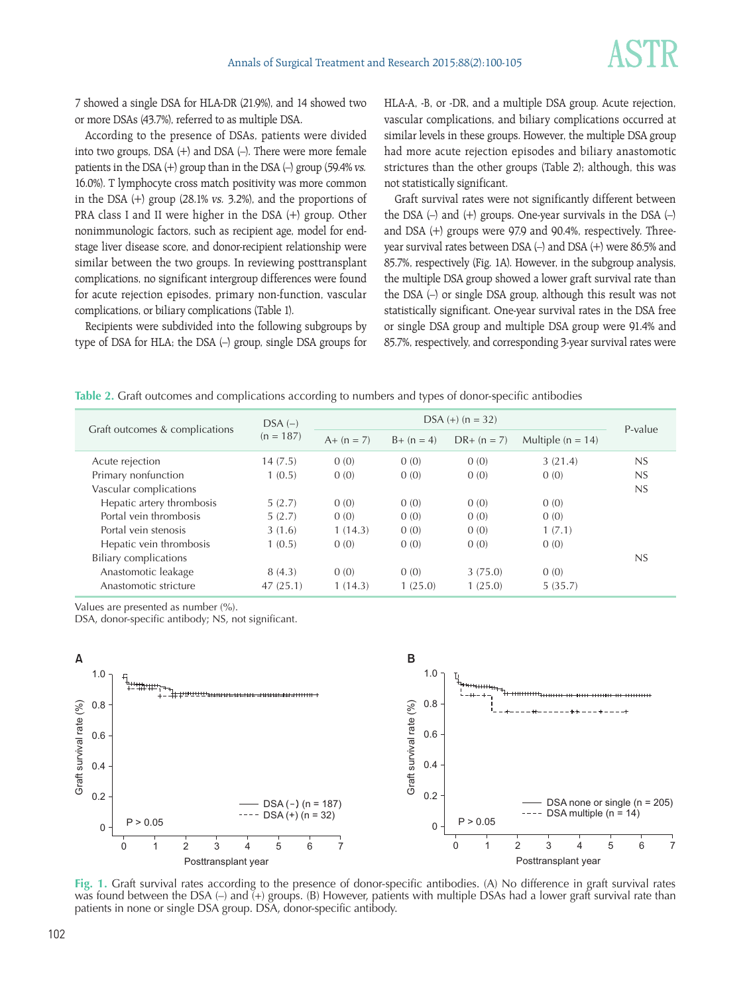7 showed a single DSA for HLA-DR (21.9%), and 14 showed two or more DSAs (43.7%), referred to as multiple DSA.

According to the presence of DSAs, patients were divided into two groups, DSA (+) and DSA (–). There were more female patients in the DSA (+) group than in the DSA (–) group (59.4% vs. 16.0%). T lymphocyte cross match positivity was more common in the DSA (+) group (28.1% vs. 3.2%), and the proportions of PRA class I and II were higher in the DSA (+) group. Other nonimmunologic factors, such as recipient age, model for endstage liver disease score, and donor-recipient relationship were similar between the two groups. In reviewing posttransplant complications, no significant intergroup differences were found for acute rejection episodes, primary non-function, vascular complications, or biliary complications (Table 1).

Recipients were subdivided into the following subgroups by type of DSA for HLA; the DSA (–) group, single DSA groups for HLA-A, -B, or -DR, and a multiple DSA group. Acute rejection, vascular complications, and biliary complications occurred at similar levels in these groups. However, the multiple DSA group had more acute rejection episodes and biliary anastomotic strictures than the other groups (Table 2); although, this was not statistically significant.

Graft survival rates were not significantly different between the DSA  $(-)$  and  $(+)$  groups. One-year survivals in the DSA  $(-)$ and DSA (+) groups were 97.9 and 90.4%, respectively. Threeyear survival rates between DSA (–) and DSA (+) were 86.5% and 85.7%, respectively (Fig. 1A). However, in the subgroup analysis, the multiple DSA group showed a lower graft survival rate than the DSA (–) or single DSA group, although this result was not statistically significant. One-year survival rates in the DSA free or single DSA group and multiple DSA group were 91.4% and 85.7%, respectively, and corresponding 3-year survival rates were

**Table 2.** Graft outcomes and complications according to numbers and types of donor-specific antibodies

| Graft outcomes & complications | $DSA(-)$<br>$(n = 187)$ | $DSA (+) (n = 32)$ |              |               |                     | P-value |
|--------------------------------|-------------------------|--------------------|--------------|---------------|---------------------|---------|
|                                |                         | $A+ (n = 7)$       | $B+ (n = 4)$ | $DR+ (n = 7)$ | Multiple $(n = 14)$ |         |
| Acute rejection                | 14(7.5)                 | 0(0)               | 0(0)         | 0(0)          | 3(21.4)             | NS      |
| Primary nonfunction            | 1(0.5)                  | 0(0)               | 0(0)         | 0(0)          | 0(0)                | NS      |
| Vascular complications         |                         |                    |              |               |                     | NS      |
| Hepatic artery thrombosis      | 5(2.7)                  | 0(0)               | 0(0)         | 0(0)          | 0(0)                |         |
| Portal vein thrombosis         | 5(2.7)                  | 0(0)               | 0(0)         | 0(0)          | 0(0)                |         |
| Portal vein stenosis           | 3(1.6)                  | 1(14.3)            | 0(0)         | 0(0)          | 1(7.1)              |         |
| Hepatic vein thrombosis        | 1(0.5)                  | 0(0)               | 0(0)         | 0(0)          | 0(0)                |         |
| <b>Biliary complications</b>   |                         |                    |              |               |                     | NS      |
| Anastomotic leakage            | 8(4.3)                  | 0(0)               | 0(0)         | 3(75.0)       | 0(0)                |         |
| Anastomotic stricture          | 47(25.1)                | 1(14.3)            | 1(25.0)      | 1(25.0)       | 5(35.7)             |         |

Values are presented as number (%).

DSA, donor-specific antibody; NS, not significant.



**Fig. 1.** Graft survival rates according to the presence of donor-specific antibodies. (A) No difference in graft survival rates was found between the DSA  $(-)$  and  $(+)$  groups. (B) However, patients with multiple DSAs had a lower graft survival rate than patients in none or single DSA group. DSA, donor-specific antibody.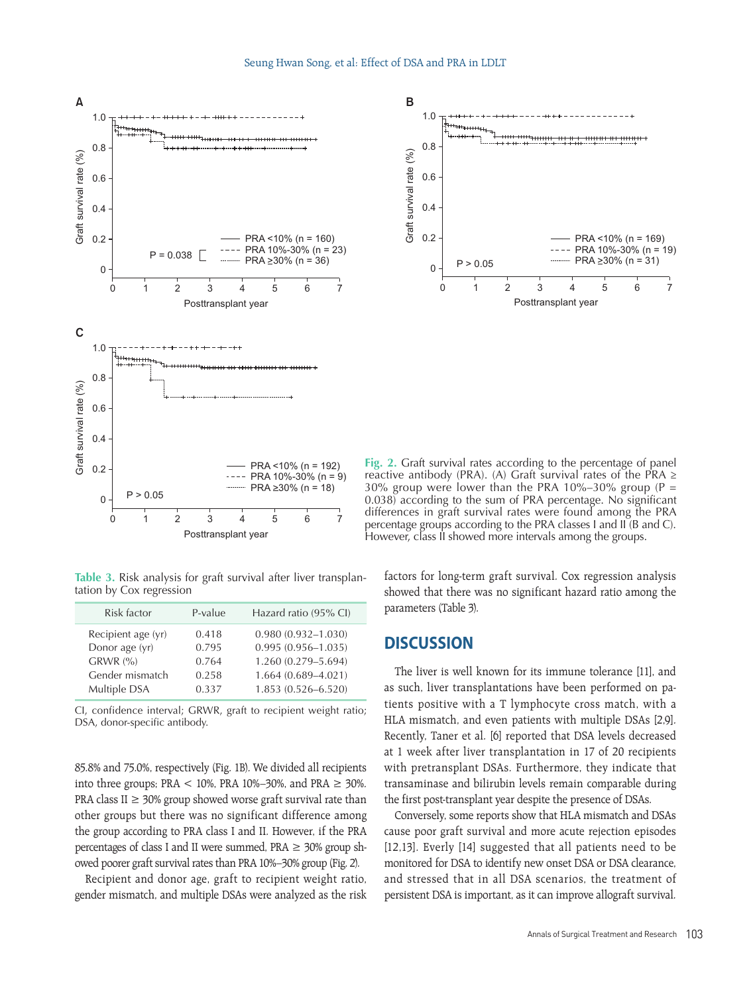

**Table 3.** Risk analysis for graft survival after liver transplantation by Cox regression

| Risk factor                                                           | P-value                          | Hazard ratio (95% CI)                                                                             |
|-----------------------------------------------------------------------|----------------------------------|---------------------------------------------------------------------------------------------------|
| Recipient age (yr)<br>Donor age (yr)<br>$GRWR$ (%)<br>Gender mismatch | 0.418<br>0.795<br>0.764<br>0.258 | $0.980(0.932 - 1.030)$<br>$0.995(0.956 - 1.035)$<br>1.260 (0.279-5.694)<br>$1.664(0.689 - 4.021)$ |
| Multiple DSA                                                          | 0.337                            | $1.853(0.526 - 6.520)$                                                                            |

CI, confidence interval; GRWR, graft to recipient weight ratio; DSA, donor-specific antibody.

85.8% and 75.0%, respectively (Fig. 1B). We divided all recipients into three groups; PRA  $<$  10%, PRA 10%–30%, and PRA  $\geq$  30%. PRA class II  $\geq$  30% group showed worse graft survival rate than other groups but there was no significant difference among the group according to PRA class I and II. However, if the PRA percentages of class I and II were summed,  $PRA \geq 30\%$  group showed poorer graft survival rates than PRA 10%–30% group (Fig. 2).

Recipient and donor age, graft to recipient weight ratio, gender mismatch, and multiple DSAs were analyzed as the risk



**Fig. 2.** Graft survival rates according to the percentage of panel reactive antibody (PRA). (A) Graft survival rates of the PRA ≥ 30% group were lower than the PRA 10%–30% group (P = 0.038) according to the sum of PRA percentage. No significant differences in graft survival rates were found among the PRA percentage groups according to the PRA classes I and II (B and C). However, class II showed more intervals among the groups.

factors for long-term graft survival. Cox regression analysis showed that there was no significant hazard ratio among the parameters (Table 3).

#### **DISCUSSION**

The liver is well known for its immune tolerance [11], and as such, liver transplantations have been performed on patients positive with a T lymphocyte cross match, with a HLA mismatch, and even patients with multiple DSAs [2,9]. Recently, Taner et al. [6] reported that DSA levels decreased at 1 week after liver transplantation in 17 of 20 recipients with pretransplant DSAs. Furthermore, they indicate that transaminase and bilirubin levels remain comparable during the first post-transplant year despite the presence of DSAs.

Conversely, some reports show that HLA mismatch and DSAs cause poor graft survival and more acute rejection episodes [12,13]. Everly [14] suggested that all patients need to be monitored for DSA to identify new onset DSA or DSA clearance, and stressed that in all DSA scenarios, the treatment of persistent DSA is important, as it can improve allograft survival.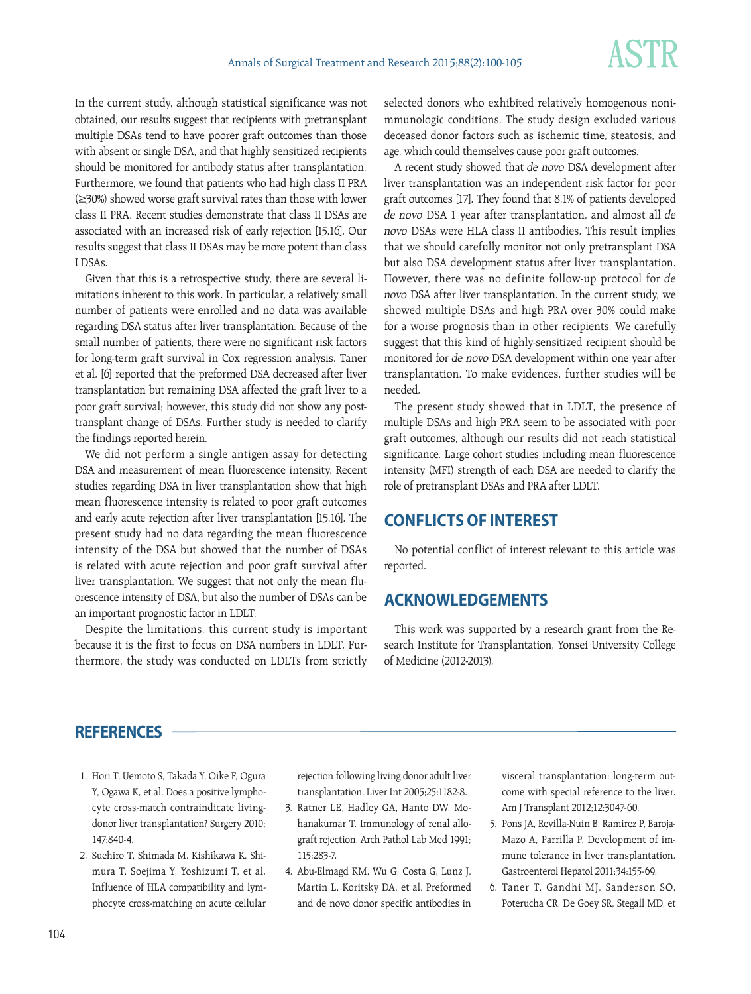In the current study, although statistical significance was not obtained, our results suggest that recipients with pretransplant multiple DSAs tend to have poorer graft outcomes than those with absent or single DSA, and that highly sensitized recipients should be monitored for antibody status after transplantation. Furthermore, we found that patients who had high class II PRA (≥30%) showed worse graft survival rates than those with lower class II PRA. Recent studies demonstrate that class II DSAs are associated with an increased risk of early rejection [15,16]. Our results suggest that class II DSAs may be more potent than class

Given that this is a retrospective study, there are several limitations inherent to this work. In particular, a relatively small number of patients were enrolled and no data was available regarding DSA status after liver transplantation. Because of the small number of patients, there were no significant risk factors for long-term graft survival in Cox regression analysis. Taner et al. [6] reported that the preformed DSA decreased after liver transplantation but remaining DSA affected the graft liver to a poor graft survival; however, this study did not show any posttransplant change of DSAs. Further study is needed to clarify the findings reported herein.

We did not perform a single antigen assay for detecting DSA and measurement of mean fluorescence intensity. Recent studies regarding DSA in liver transplantation show that high mean fluorescence intensity is related to poor graft outcomes and early acute rejection after liver transplantation [15,16]. The present study had no data regarding the mean fluorescence intensity of the DSA but showed that the number of DSAs is related with acute rejection and poor graft survival after liver transplantation. We suggest that not only the mean fluorescence intensity of DSA, but also the number of DSAs can be an important prognostic factor in LDLT.

Despite the limitations, this current study is important because it is the first to focus on DSA numbers in LDLT. Furthermore, the study was conducted on LDLTs from strictly selected donors who exhibited relatively homogenous nonimmunologic conditions. The study design excluded various deceased donor factors such as ischemic time, steatosis, and age, which could themselves cause poor graft outcomes.

A recent study showed that de novo DSA development after liver transplantation was an independent risk factor for poor graft outcomes [17]. They found that 8.1% of patients developed de novo DSA 1 year after transplantation, and almost all de novo DSAs were HLA class II antibodies. This result implies that we should carefully monitor not only pretransplant DSA but also DSA development status after liver transplantation. However, there was no definite follow-up protocol for de novo DSA after liver transplantation. In the current study, we showed multiple DSAs and high PRA over 30% could make for a worse prognosis than in other recipients. We carefully suggest that this kind of highly-sensitized recipient should be monitored for de novo DSA development within one year after transplantation. To make evidences, further studies will be needed.

The present study showed that in LDLT, the presence of multiple DSAs and high PRA seem to be associated with poor graft outcomes, although our results did not reach statistical significance. Large cohort studies including mean fluorescence intensity (MFI) strength of each DSA are needed to clarify the role of pretransplant DSAs and PRA after LDLT.

# **CONFLICTS OF INTEREST**

No potential conflict of interest relevant to this article was reported.

### **ACKNOWLEDGEMENTS**

This work was supported by a research grant from the Research Institute for Transplantation, Yonsei University College of Medicine (2012-2013).

#### **REFERENCES**

I DSAs.

- 1. Hori T, Uemoto S, Takada Y, Oike F, Ogura Y, Ogawa K, et al. Does a positive lymphocyte cross-match contraindicate livingdonor liver transplantation? Surgery 2010; 147:840-4.
- 2. Suehiro T, Shimada M, Kishikawa K, Shimura T, Soejima Y, Yoshizumi T, et al. Influence of HLA compatibility and lymphocyte cross-matching on acute cellular

rejection following living donor adult liver transplantation. Liver Int 2005;25:1182-8.

- 3. Ratner LE, Hadley GA, Hanto DW, Mohanakumar T. Immunology of renal allograft rejection. Arch Pathol Lab Med 1991; 115:283-7.
- 4. Abu-Elmagd KM, Wu G, Costa G, Lunz J, Martin L, Koritsky DA, et al. Preformed and de novo donor specific antibodies in

visceral transplantation: long-term outcome with special reference to the liver. Am J Transplant 2012;12:3047-60.

- 5. Pons JA, Revilla-Nuin B, Ramirez P, Baroja-Mazo A, Parrilla P. Development of immune tolerance in liver transplantation. Gastroenterol Hepatol 2011;34:155-69.
- 6. Taner T, Gandhi MJ, Sanderson SO, Poterucha CR, De Goey SR, Stegall MD, et